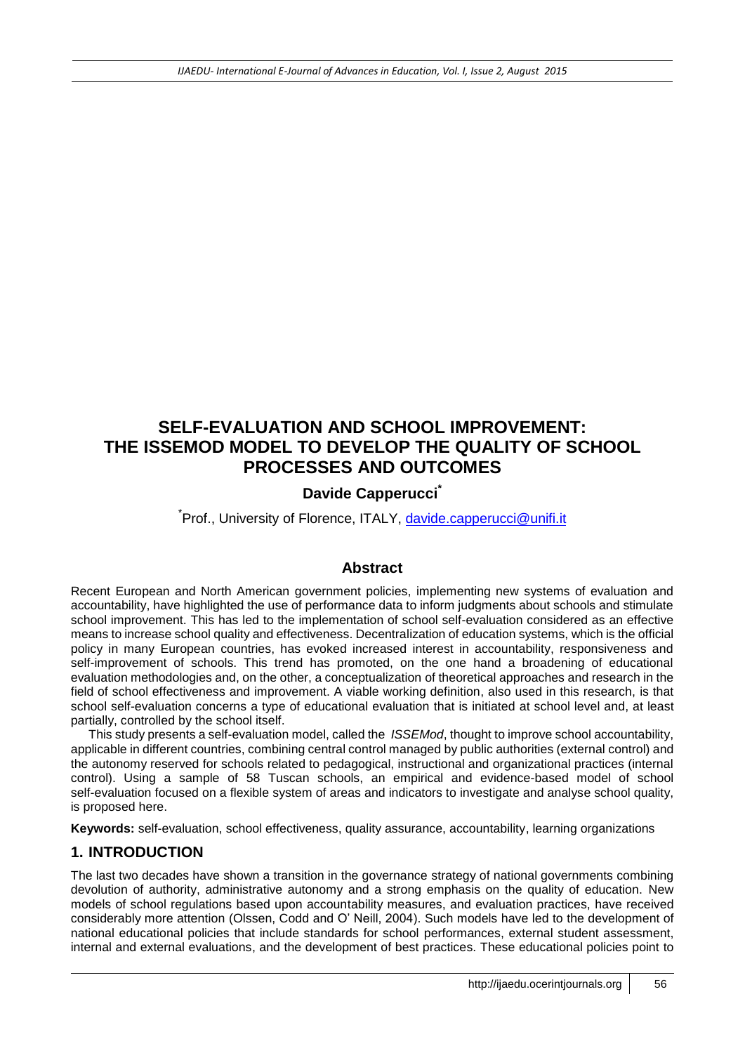# **SELF-EVALUATION AND SCHOOL IMPROVEMENT: THE ISSEMOD MODEL TO DEVELOP THE QUALITY OF SCHOOL PROCESSES AND OUTCOMES**

# **Davide Capperucci\***

<sup>\*</sup>Prof., University of Florence, ITALY, [davide.capperucci@unifi.it](mailto:davide.capperucci@unifi.it)

# **Abstract**

Recent European and North American government policies, implementing new systems of evaluation and accountability, have highlighted the use of performance data to inform judgments about schools and stimulate school improvement. This has led to the implementation of school self-evaluation considered as an effective means to increase school quality and effectiveness. Decentralization of education systems, which is the official policy in many European countries, has evoked increased interest in accountability, responsiveness and self-improvement of schools. This trend has promoted, on the one hand a broadening of educational evaluation methodologies and, on the other, a conceptualization of theoretical approaches and research in the field of school effectiveness and improvement. A viable working definition, also used in this research, is that school self-evaluation concerns a type of educational evaluation that is initiated at school level and, at least partially, controlled by the school itself.

This study presents a self-evaluation model, called the *ISSEMod*, thought to improve school accountability, applicable in different countries, combining central control managed by public authorities (external control) and the autonomy reserved for schools related to pedagogical, instructional and organizational practices (internal control). Using a sample of 58 Tuscan schools, an empirical and evidence-based model of school self-evaluation focused on a flexible system of areas and indicators to investigate and analyse school quality, is proposed here.

**Keywords:** self-evaluation, school effectiveness, quality assurance, accountability, learning organizations

# **1. INTRODUCTION**

The last two decades have shown a transition in the governance strategy of national governments combining devolution of authority, administrative autonomy and a strong emphasis on the quality of education. New models of school regulations based upon accountability measures, and evaluation practices, have received considerably more attention (Olssen, Codd and O' Neill, 2004). Such models have led to the development of national educational policies that include standards for school performances, external student assessment, internal and external evaluations, and the development of best practices. These educational policies point to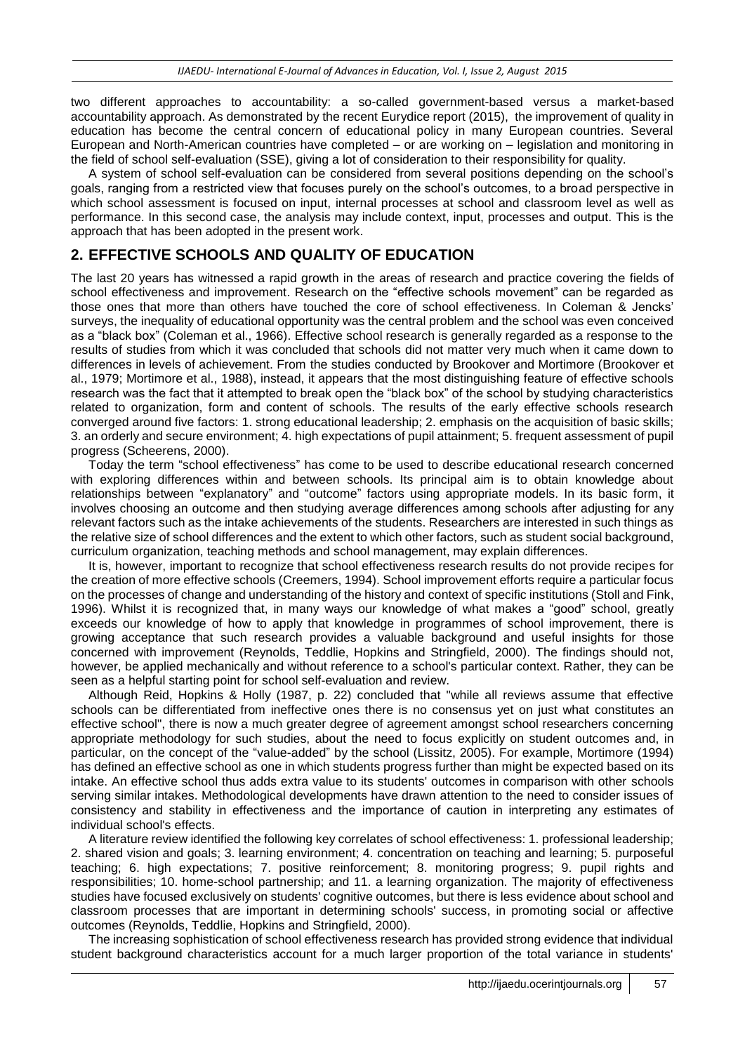two different approaches to accountability: a so-called government-based versus a market-based accountability approach. As demonstrated by the recent Eurydice report (2015), the improvement of quality in education has become the central concern of educational policy in many European countries. Several European and North-American countries have completed – or are working on – legislation and monitoring in the field of school self-evaluation (SSE), giving a lot of consideration to their responsibility for quality.

A system of school self-evaluation can be considered from several positions depending on the school's goals, ranging from a restricted view that focuses purely on the school's outcomes, to a broad perspective in which school assessment is focused on input, internal processes at school and classroom level as well as performance. In this second case, the analysis may include context, input, processes and output. This is the approach that has been adopted in the present work.

# **2. EFFECTIVE SCHOOLS AND QUALITY OF EDUCATION**

The last 20 years has witnessed a rapid growth in the areas of research and practice covering the fields of school effectiveness and improvement. Research on the "effective schools movement" can be regarded as those ones that more than others have touched the core of school effectiveness. In Coleman & Jencks' surveys, the inequality of educational opportunity was the central problem and the school was even conceived as a "black box" (Coleman et al., 1966). Effective school research is generally regarded as a response to the results of studies from which it was concluded that schools did not matter very much when it came down to differences in levels of achievement. From the studies conducted by Brookover and Mortimore (Brookover et al., 1979; Mortimore et al., 1988), instead, it appears that the most distinguishing feature of effective schools research was the fact that it attempted to break open the "black box" of the school by studying characteristics related to organization, form and content of schools. The results of the early effective schools research converged around five factors: 1. strong educational leadership; 2. emphasis on the acquisition of basic skills; 3. an orderly and secure environment; 4. high expectations of pupil attainment; 5. frequent assessment of pupil progress (Scheerens, 2000).

Today the term "school effectiveness" has come to be used to describe educational research concerned with exploring differences within and between schools. Its principal aim is to obtain knowledge about relationships between "explanatory" and "outcome" factors using appropriate models. In its basic form, it involves choosing an outcome and then studying average differences among schools after adjusting for any relevant factors such as the intake achievements of the students. Researchers are interested in such things as the relative size of school differences and the extent to which other factors, such as student social background, curriculum organization, teaching methods and school management, may explain differences.

It is, however, important to recognize that school effectiveness research results do not provide recipes for the creation of more effective schools (Creemers, 1994). School improvement efforts require a particular focus on the processes of change and understanding of the history and context of specific institutions (Stoll and Fink, 1996). Whilst it is recognized that, in many ways our knowledge of what makes a "good" school, greatly exceeds our knowledge of how to apply that knowledge in programmes of school improvement, there is growing acceptance that such research provides a valuable background and useful insights for those concerned with improvement (Reynolds, Teddlie, Hopkins and Stringfield, 2000). The findings should not, however, be applied mechanically and without reference to a school's particular context. Rather, they can be seen as a helpful starting point for school self-evaluation and review.

Although Reid, Hopkins & Holly (1987, p. 22) concluded that "while all reviews assume that effective schools can be differentiated from ineffective ones there is no consensus yet on just what constitutes an effective school", there is now a much greater degree of agreement amongst school researchers concerning appropriate methodology for such studies, about the need to focus explicitly on student outcomes and, in particular, on the concept of the "value-added" by the school (Lissitz, 2005). For example, Mortimore (1994) has defined an effective school as one in which students progress further than might be expected based on its intake. An effective school thus adds extra value to its students' outcomes in comparison with other schools serving similar intakes. Methodological developments have drawn attention to the need to consider issues of consistency and stability in effectiveness and the importance of caution in interpreting any estimates of individual school's effects.

A literature review identified the following key correlates of school effectiveness: 1. professional leadership; 2. shared vision and goals; 3. learning environment; 4. concentration on teaching and learning; 5. purposeful teaching; 6. high expectations; 7. positive reinforcement; 8. monitoring progress; 9. pupil rights and responsibilities; 10. home-school partnership; and 11. a learning organization. The majority of effectiveness studies have focused exclusively on students' cognitive outcomes, but there is less evidence about school and classroom processes that are important in determining schools' success, in promoting social or affective outcomes (Reynolds, Teddlie, Hopkins and Stringfield, 2000).

The increasing sophistication of school effectiveness research has provided strong evidence that individual student background characteristics account for a much larger proportion of the total variance in students'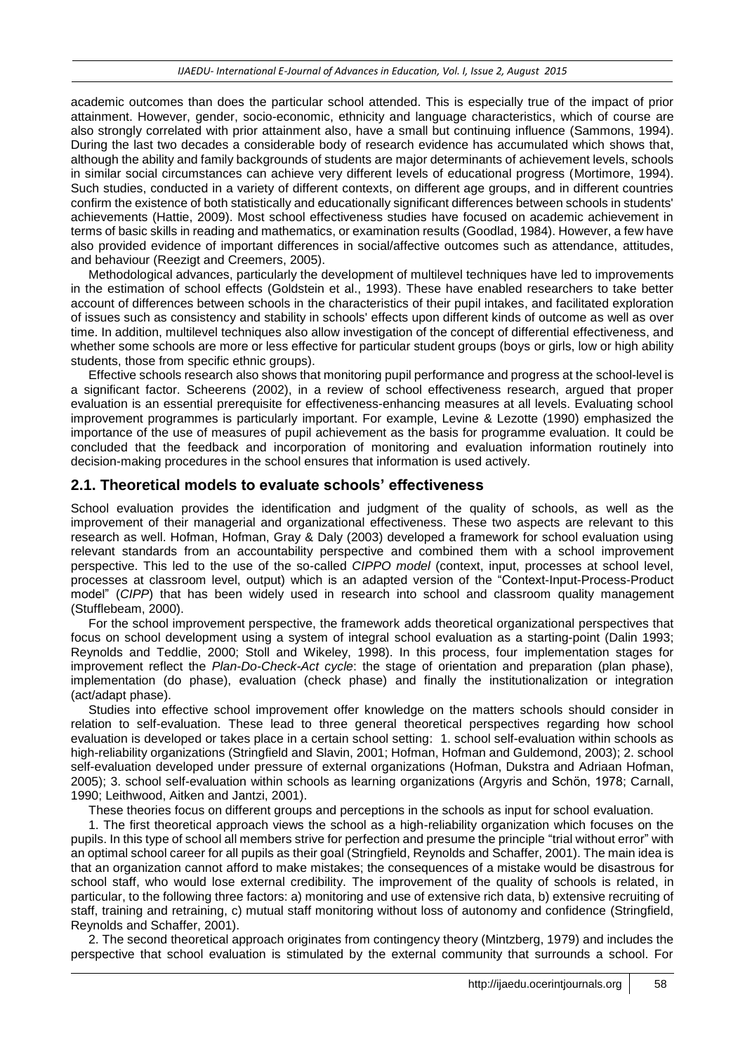academic outcomes than does the particular school attended. This is especially true of the impact of prior attainment. However, gender, socio-economic, ethnicity and language characteristics, which of course are also strongly correlated with prior attainment also, have a small but continuing influence (Sammons, 1994). During the last two decades a considerable body of research evidence has accumulated which shows that, although the ability and family backgrounds of students are major determinants of achievement levels, schools in similar social circumstances can achieve very different levels of educational progress (Mortimore, 1994). Such studies, conducted in a variety of different contexts, on different age groups, and in different countries confirm the existence of both statistically and educationally significant differences between schools in students' achievements (Hattie, 2009). Most school effectiveness studies have focused on academic achievement in terms of basic skills in reading and mathematics, or examination results (Goodlad, 1984). However, a few have also provided evidence of important differences in social/affective outcomes such as attendance, attitudes, and behaviour (Reezigt and Creemers, 2005).

Methodological advances, particularly the development of multilevel techniques have led to improvements in the estimation of school effects (Goldstein et al., 1993). These have enabled researchers to take better account of differences between schools in the characteristics of their pupil intakes, and facilitated exploration of issues such as consistency and stability in schools' effects upon different kinds of outcome as well as over time. In addition, multilevel techniques also allow investigation of the concept of differential effectiveness, and whether some schools are more or less effective for particular student groups (boys or girls, low or high ability students, those from specific ethnic groups).

Effective schools research also shows that monitoring pupil performance and progress at the school-level is a significant factor. Scheerens (2002), in a review of school effectiveness research, argued that proper evaluation is an essential prerequisite for effectiveness-enhancing measures at all levels. Evaluating school improvement programmes is particularly important. For example, Levine & Lezotte (1990) emphasized the importance of the use of measures of pupil achievement as the basis for programme evaluation. It could be concluded that the feedback and incorporation of monitoring and evaluation information routinely into decision-making procedures in the school ensures that information is used actively.

#### **2.1. Theoretical models to evaluate schools' effectiveness**

School evaluation provides the identification and judgment of the quality of schools, as well as the improvement of their managerial and organizational effectiveness. These two aspects are relevant to this research as well. Hofman, Hofman, Gray & Daly (2003) developed a framework for school evaluation using relevant standards from an accountability perspective and combined them with a school improvement perspective. This led to the use of the so-called *CIPPO model* (context, input, processes at school level, processes at classroom level, output) which is an adapted version of the "Context-Input-Process-Product model" (*CIPP*) that has been widely used in research into school and classroom quality management (Stufflebeam, 2000).

For the school improvement perspective, the framework adds theoretical organizational perspectives that focus on school development using a system of integral school evaluation as a starting-point (Dalin 1993; Reynolds and Teddlie, 2000; Stoll and Wikeley, 1998). In this process, four implementation stages for improvement reflect the *Plan-Do-Check-Act cycle*: the stage of orientation and preparation (plan phase), implementation (do phase), evaluation (check phase) and finally the institutionalization or integration (act/adapt phase).

Studies into effective school improvement offer knowledge on the matters schools should consider in relation to self-evaluation. These lead to three general theoretical perspectives regarding how school evaluation is developed or takes place in a certain school setting: 1. school self-evaluation within schools as high-reliability organizations (Stringfield and Slavin, 2001; Hofman, Hofman and Guldemond, 2003); 2. school self-evaluation developed under pressure of external organizations (Hofman, Dukstra and Adriaan Hofman, 2005); 3. school self-evaluation within schools as learning organizations (Argyris and Schön, 1978; Carnall, 1990; Leithwood, Aitken and Jantzi, 2001).

These theories focus on different groups and perceptions in the schools as input for school evaluation.

1. The first theoretical approach views the school as a high-reliability organization which focuses on the pupils. In this type of school all members strive for perfection and presume the principle "trial without error" with an optimal school career for all pupils as their goal (Stringfield, Reynolds and Schaffer, 2001). The main idea is that an organization cannot afford to make mistakes; the consequences of a mistake would be disastrous for school staff, who would lose external credibility. The improvement of the quality of schools is related, in particular, to the following three factors: a) monitoring and use of extensive rich data, b) extensive recruiting of staff, training and retraining, c) mutual staff monitoring without loss of autonomy and confidence (Stringfield, Reynolds and Schaffer, 2001).

2. The second theoretical approach originates from contingency theory (Mintzberg, 1979) and includes the perspective that school evaluation is stimulated by the external community that surrounds a school. For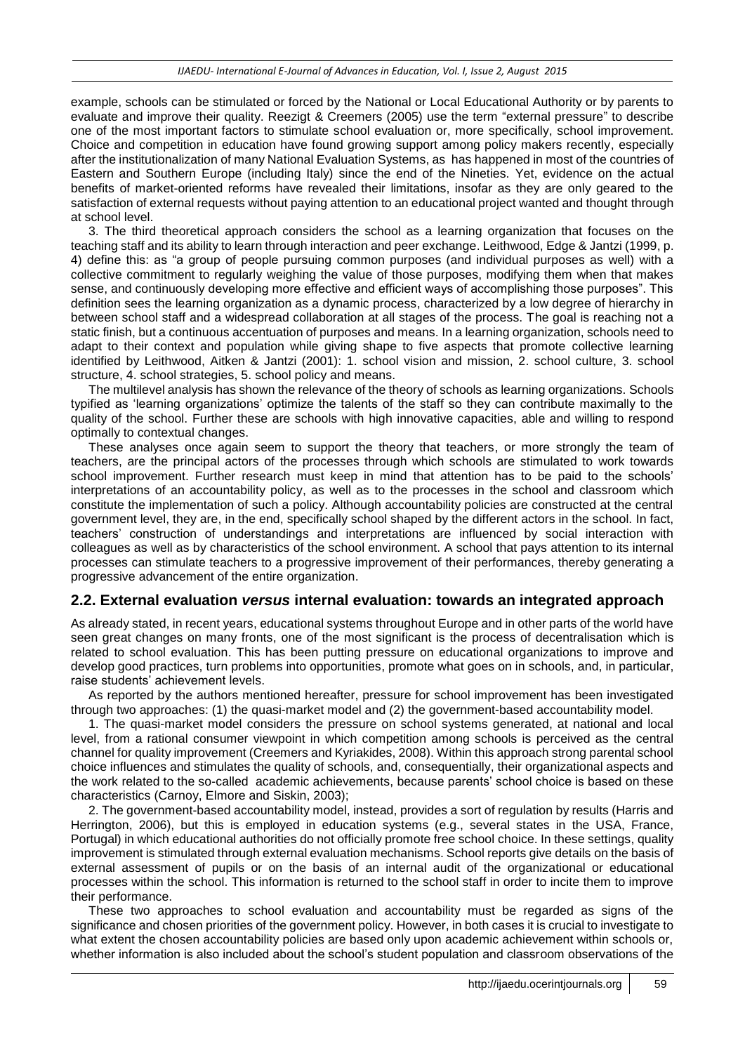example, schools can be stimulated or forced by the National or Local Educational Authority or by parents to evaluate and improve their quality. Reezigt & Creemers (2005) use the term "external pressure" to describe one of the most important factors to stimulate school evaluation or, more specifically, school improvement. Choice and competition in education have found growing support among policy makers recently, especially after the institutionalization of many National Evaluation Systems, as has happened in most of the countries of Eastern and Southern Europe (including Italy) since the end of the Nineties. Yet, evidence on the actual benefits of market-oriented reforms have revealed their limitations, insofar as they are only geared to the satisfaction of external requests without paying attention to an educational project wanted and thought through at school level.

3. The third theoretical approach considers the school as a learning organization that focuses on the teaching staff and its ability to learn through interaction and peer exchange. Leithwood, Edge & Jantzi (1999, p. 4) define this: as "a group of people pursuing common purposes (and individual purposes as well) with a collective commitment to regularly weighing the value of those purposes, modifying them when that makes sense, and continuously developing more effective and efficient ways of accomplishing those purposes". This definition sees the learning organization as a dynamic process, characterized by a low degree of hierarchy in between school staff and a widespread collaboration at all stages of the process. The goal is reaching not a static finish, but a continuous accentuation of purposes and means. In a learning organization, schools need to adapt to their context and population while giving shape to five aspects that promote collective learning identified by Leithwood, Aitken & Jantzi (2001): 1. school vision and mission, 2. school culture, 3. school structure, 4. school strategies, 5. school policy and means.

The multilevel analysis has shown the relevance of the theory of schools as learning organizations. Schools typified as 'learning organizations' optimize the talents of the staff so they can contribute maximally to the quality of the school. Further these are schools with high innovative capacities, able and willing to respond optimally to contextual changes.

These analyses once again seem to support the theory that teachers, or more strongly the team of teachers, are the principal actors of the processes through which schools are stimulated to work towards school improvement. Further research must keep in mind that attention has to be paid to the schools' interpretations of an accountability policy, as well as to the processes in the school and classroom which constitute the implementation of such a policy. Although accountability policies are constructed at the central government level, they are, in the end, specifically school shaped by the different actors in the school. In fact, teachers' construction of understandings and interpretations are influenced by social interaction with colleagues as well as by characteristics of the school environment. A school that pays attention to its internal processes can stimulate teachers to a progressive improvement of their performances, thereby generating a progressive advancement of the entire organization.

#### **2.2. External evaluation** *versus* **internal evaluation: towards an integrated approach**

As already stated, in recent years, educational systems throughout Europe and in other parts of the world have seen great changes on many fronts, one of the most significant is the process of decentralisation which is related to school evaluation. This has been putting pressure on educational organizations to improve and develop good practices, turn problems into opportunities, promote what goes on in schools, and, in particular, raise students' achievement levels.

As reported by the authors mentioned hereafter, pressure for school improvement has been investigated through two approaches: (1) the quasi-market model and (2) the government-based accountability model.

1. The quasi-market model considers the pressure on school systems generated, at national and local level, from a rational consumer viewpoint in which competition among schools is perceived as the central channel for quality improvement (Creemers and Kyriakides, 2008). Within this approach strong parental school choice influences and stimulates the quality of schools, and, consequentially, their organizational aspects and the work related to the so-called academic achievements, because parents' school choice is based on these characteristics (Carnoy, Elmore and Siskin, 2003);

2. The government-based accountability model, instead, provides a sort of regulation by results (Harris and Herrington, 2006), but this is employed in education systems (e.g., several states in the USA, France, Portugal) in which educational authorities do not officially promote free school choice. In these settings, quality improvement is stimulated through external evaluation mechanisms. School reports give details on the basis of external assessment of pupils or on the basis of an internal audit of the organizational or educational processes within the school. This information is returned to the school staff in order to incite them to improve their performance.

These two approaches to school evaluation and accountability must be regarded as signs of the significance and chosen priorities of the government policy. However, in both cases it is crucial to investigate to what extent the chosen accountability policies are based only upon academic achievement within schools or, whether information is also included about the school's student population and classroom observations of the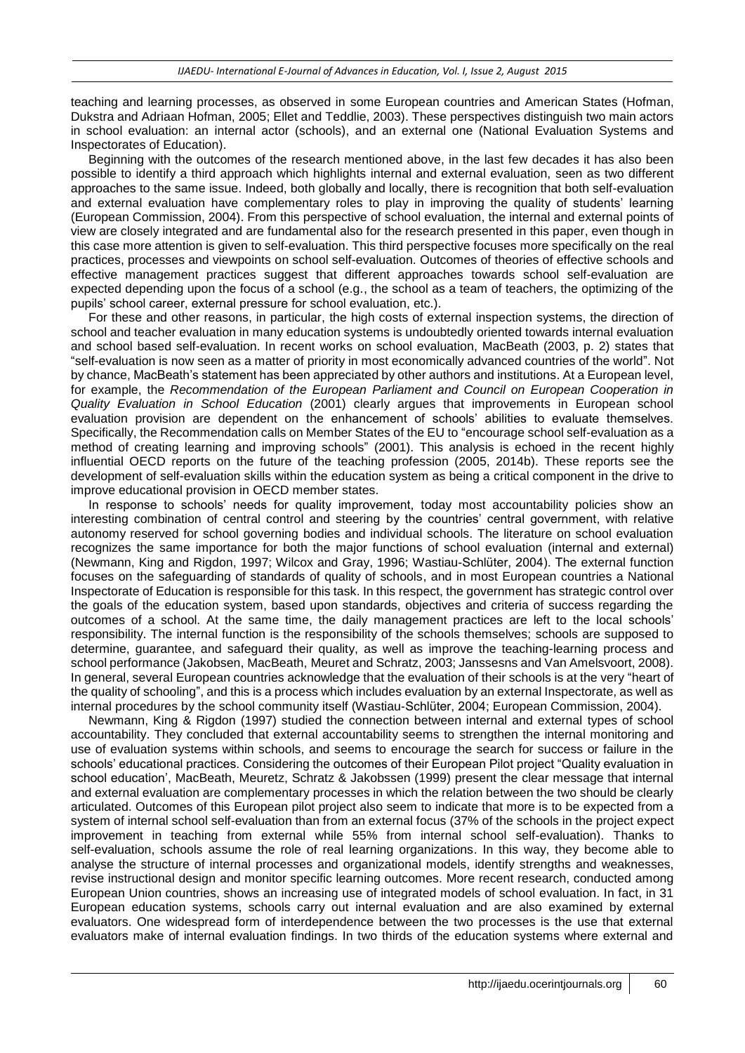teaching and learning processes, as observed in some European countries and American States (Hofman, Dukstra and Adriaan Hofman, 2005; Ellet and Teddlie, 2003). These perspectives distinguish two main actors in school evaluation: an internal actor (schools), and an external one (National Evaluation Systems and Inspectorates of Education).

Beginning with the outcomes of the research mentioned above, in the last few decades it has also been possible to identify a third approach which highlights internal and external evaluation, seen as two different approaches to the same issue. Indeed, both globally and locally, there is recognition that both self-evaluation and external evaluation have complementary roles to play in improving the quality of students' learning (European Commission, 2004). From this perspective of school evaluation, the internal and external points of view are closely integrated and are fundamental also for the research presented in this paper, even though in this case more attention is given to self-evaluation. This third perspective focuses more specifically on the real practices, processes and viewpoints on school self-evaluation. Outcomes of theories of effective schools and effective management practices suggest that different approaches towards school self-evaluation are expected depending upon the focus of a school (e.g., the school as a team of teachers, the optimizing of the pupils' school career, external pressure for school evaluation, etc.).

For these and other reasons, in particular, the high costs of external inspection systems, the direction of school and teacher evaluation in many education systems is undoubtedly oriented towards internal evaluation and school based self-evaluation. In recent works on school evaluation, MacBeath (2003, p. 2) states that "self-evaluation is now seen as a matter of priority in most economically advanced countries of the world". Not by chance, MacBeath's statement has been appreciated by other authors and institutions. At a European level, for example, the *Recommendation of the European Parliament and Council on European Cooperation in Quality Evaluation in School Education* (2001) clearly argues that improvements in European school evaluation provision are dependent on the enhancement of schools' abilities to evaluate themselves. Specifically, the Recommendation calls on Member States of the EU to "encourage school self-evaluation as a method of creating learning and improving schools" (2001). This analysis is echoed in the recent highly influential OECD reports on the future of the teaching profession (2005, 2014b). These reports see the development of self-evaluation skills within the education system as being a critical component in the drive to improve educational provision in OECD member states.

In response to schools' needs for quality improvement, today most accountability policies show an interesting combination of central control and steering by the countries' central government, with relative autonomy reserved for school governing bodies and individual schools. The literature on school evaluation recognizes the same importance for both the major functions of school evaluation (internal and external) (Newmann, King and Rigdon, 1997; Wilcox and Gray, 1996; Wastiau-Schlüter, 2004). The external function focuses on the safeguarding of standards of quality of schools, and in most European countries a National Inspectorate of Education is responsible for this task. In this respect, the government has strategic control over the goals of the education system, based upon standards, objectives and criteria of success regarding the outcomes of a school. At the same time, the daily management practices are left to the local schools' responsibility. The internal function is the responsibility of the schools themselves; schools are supposed to determine, guarantee, and safeguard their quality, as well as improve the teaching-learning process and school performance [\(Jakobsen,](https://www.google.it/search?hl=it&tbo=p&tbm=bks&q=inauthor:%22Lars+Jakobsen%22) [MacBeath,](https://www.google.it/search?hl=it&tbo=p&tbm=bks&q=inauthor:%22John+MacBeath%22) [Meuret](https://www.google.it/search?hl=it&tbo=p&tbm=bks&q=inauthor:%22Denis+Meuret%22) and [Schratz,](https://www.google.it/search?hl=it&tbo=p&tbm=bks&q=inauthor:%22Michael+Schratz%22) 2003; Janssesns and Van Amelsvoort, 2008). In general, several European countries acknowledge that the evaluation of their schools is at the very "heart of the quality of schooling", and this is a process which includes evaluation by an external Inspectorate, as well as internal procedures by the school community itself (Wastiau-Schlüter, 2004; European Commission, 2004).

Newmann, King & Rigdon (1997) studied the connection between internal and external types of school accountability. They concluded that external accountability seems to strengthen the internal monitoring and use of evaluation systems within schools, and seems to encourage the search for success or failure in the schools' educational practices. Considering the outcomes of their European Pilot project "Quality evaluation in school education', MacBeath, Meuretz, Schratz & Jakobssen (1999) present the clear message that internal and external evaluation are complementary processes in which the relation between the two should be clearly articulated. Outcomes of this European pilot project also seem to indicate that more is to be expected from a system of internal school self-evaluation than from an external focus (37% of the schools in the project expect improvement in teaching from external while 55% from internal school self-evaluation). Thanks to self-evaluation, schools assume the role of real learning organizations. In this way, they become able to analyse the structure of internal processes and organizational models, identify strengths and weaknesses, revise instructional design and monitor specific learning outcomes. More recent research, conducted among European Union countries, shows an increasing use of integrated models of school evaluation. In fact, in 31 European education systems, schools carry out internal evaluation and are also examined by external evaluators. One widespread form of interdependence between the two processes is the use that external evaluators make of internal evaluation findings. In two thirds of the education systems where external and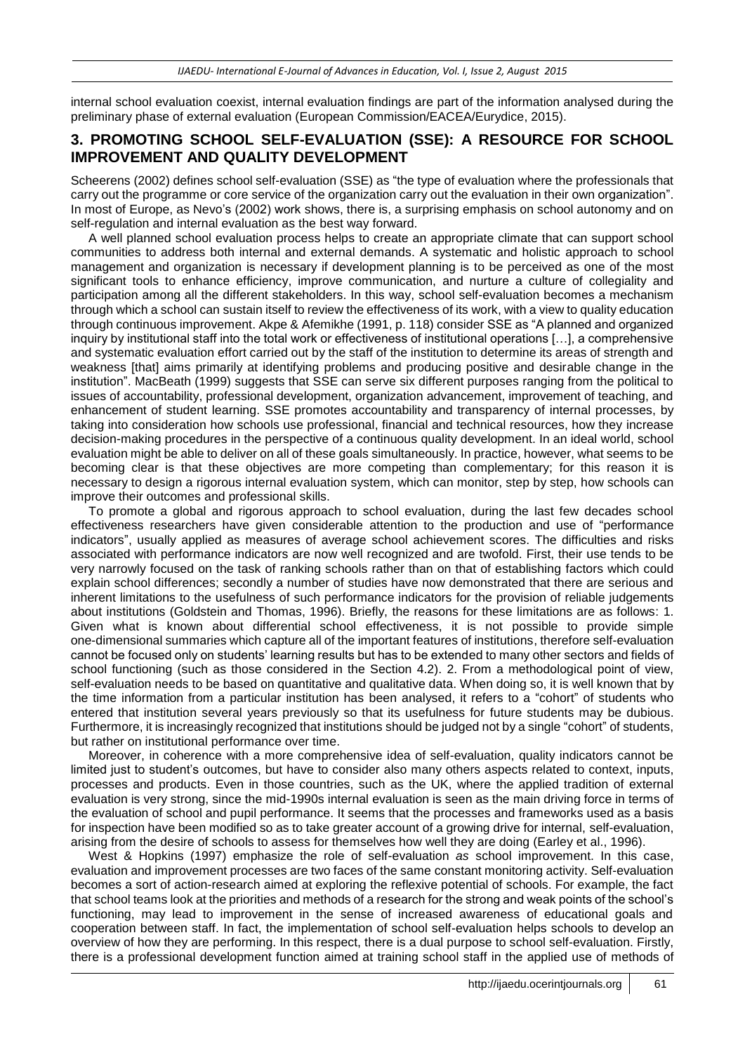internal school evaluation coexist, internal evaluation findings are part of the information analysed during the preliminary phase of external evaluation (European Commission/EACEA/Eurydice, 2015).

### **3. PROMOTING SCHOOL SELF-EVALUATION (SSE): A RESOURCE FOR SCHOOL IMPROVEMENT AND QUALITY DEVELOPMENT**

Scheerens (2002) defines school self-evaluation (SSE) as "the type of evaluation where the professionals that carry out the programme or core service of the organization carry out the evaluation in their own organization". In most of Europe, as Nevo's (2002) work shows, there is, a surprising emphasis on school autonomy and on self-regulation and internal evaluation as the best way forward.

A well planned school evaluation process helps to create an appropriate climate that can support school communities to address both internal and external demands. A systematic and holistic approach to school management and organization is necessary if development planning is to be perceived as one of the most significant tools to enhance efficiency, improve communication, and nurture a culture of collegiality and participation among all the different stakeholders. In this way, school self-evaluation becomes a mechanism through which a school can sustain itself to review the effectiveness of its work, with a view to quality education through continuous improvement. Akpe & Afemikhe (1991, p. 118) consider SSE as "A planned and organized inquiry by institutional staff into the total work or effectiveness of institutional operations […], a comprehensive and systematic evaluation effort carried out by the staff of the institution to determine its areas of strength and weakness [that] aims primarily at identifying problems and producing positive and desirable change in the institution". MacBeath (1999) suggests that SSE can serve six different purposes ranging from the political to issues of accountability, professional development, organization advancement, improvement of teaching, and enhancement of student learning. SSE promotes accountability and transparency of internal processes, by taking into consideration how schools use professional, financial and technical resources, how they increase decision-making procedures in the perspective of a continuous quality development. In an ideal world, school evaluation might be able to deliver on all of these goals simultaneously. In practice, however, what seems to be becoming clear is that these objectives are more competing than complementary; for this reason it is necessary to design a rigorous internal evaluation system, which can monitor, step by step, how schools can improve their outcomes and professional skills.

To promote a global and rigorous approach to school evaluation, during the last few decades school effectiveness researchers have given considerable attention to the production and use of "performance indicators", usually applied as measures of average school achievement scores. The difficulties and risks associated with performance indicators are now well recognized and are twofold. First, their use tends to be very narrowly focused on the task of ranking schools rather than on that of establishing factors which could explain school differences; secondly a number of studies have now demonstrated that there are serious and inherent limitations to the usefulness of such performance indicators for the provision of reliable judgements about institutions (Goldstein and Thomas, 1996). Briefly, the reasons for these limitations are as follows: 1. Given what is known about differential school effectiveness, it is not possible to provide simple one-dimensional summaries which capture all of the important features of institutions, therefore self-evaluation cannot be focused only on students' learning results but has to be extended to many other sectors and fields of school functioning (such as those considered in the Section 4.2). 2. From a methodological point of view, self-evaluation needs to be based on quantitative and qualitative data. When doing so, it is well known that by the time information from a particular institution has been analysed, it refers to a "cohort" of students who entered that institution several years previously so that its usefulness for future students may be dubious. Furthermore, it is increasingly recognized that institutions should be judged not by a single "cohort" of students, but rather on institutional performance over time.

Moreover, in coherence with a more comprehensive idea of self-evaluation, quality indicators cannot be limited just to student's outcomes, but have to consider also many others aspects related to context, inputs, processes and products. Even in those countries, such as the UK, where the applied tradition of external evaluation is very strong, since the mid-1990s internal evaluation is seen as the main driving force in terms of the evaluation of school and pupil performance. It seems that the processes and frameworks used as a basis for inspection have been modified so as to take greater account of a growing drive for internal, self-evaluation, arising from the desire of schools to assess for themselves how well they are doing (Earley et al., 1996).

West & Hopkins (1997) emphasize the role of self-evaluation *as* school improvement. In this case, evaluation and improvement processes are two faces of the same constant monitoring activity. Self-evaluation becomes a sort of action-research aimed at exploring the reflexive potential of schools. For example, the fact that school teams look at the priorities and methods of a research for the strong and weak points of the school's functioning, may lead to improvement in the sense of increased awareness of educational goals and cooperation between staff. In fact, the implementation of school self-evaluation helps schools to develop an overview of how they are performing. In this respect, there is a dual purpose to school self-evaluation. Firstly, there is a professional development function aimed at training school staff in the applied use of methods of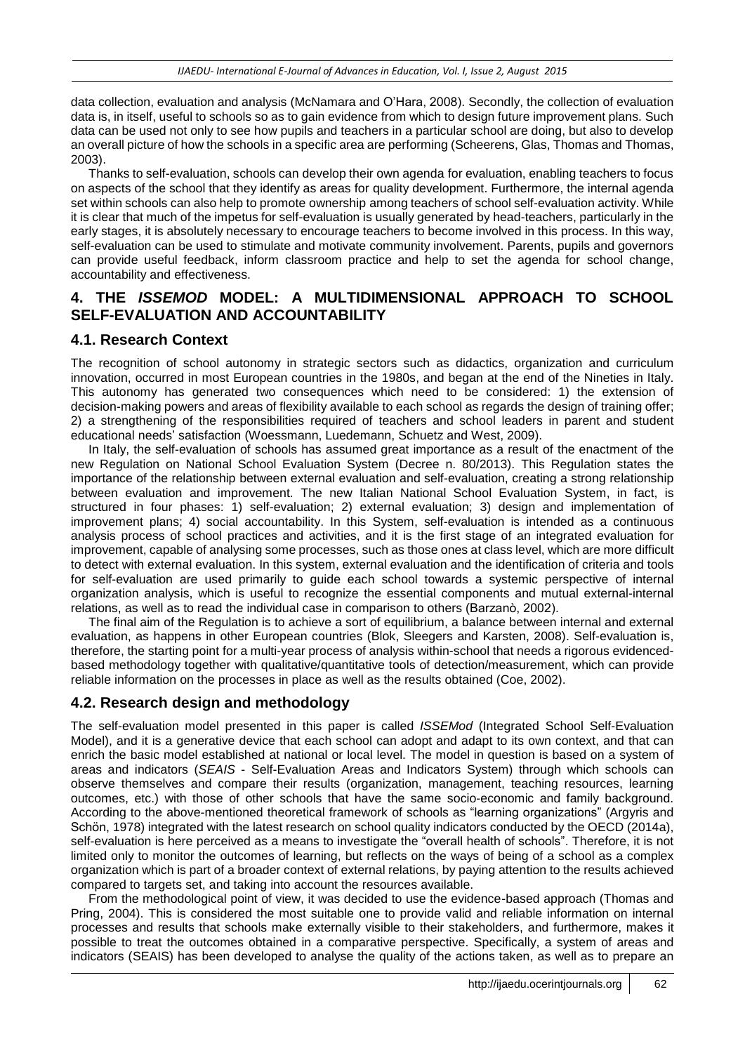data collection, evaluation and analysis (McNamara and O'Hara, 2008). Secondly, the collection of evaluation data is, in itself, useful to schools so as to gain evidence from which to design future improvement plans. Such data can be used not only to see how pupils and teachers in a particular school are doing, but also to develop an overall picture of how the schools in a specific area are performing (Scheerens, Glas, Thomas and Thomas, 2003).

Thanks to self-evaluation, schools can develop their own agenda for evaluation, enabling teachers to focus on aspects of the school that they identify as areas for quality development. Furthermore, the internal agenda set within schools can also help to promote ownership among teachers of school self-evaluation activity. While it is clear that much of the impetus for self-evaluation is usually generated by head-teachers, particularly in the early stages, it is absolutely necessary to encourage teachers to become involved in this process. In this way, self-evaluation can be used to stimulate and motivate community involvement. Parents, pupils and governors can provide useful feedback, inform classroom practice and help to set the agenda for school change, accountability and effectiveness.

# **4. THE** *ISSEMOD* **MODEL: A MULTIDIMENSIONAL APPROACH TO SCHOOL SELF-EVALUATION AND ACCOUNTABILITY**

### **4.1. Research Context**

The recognition of school autonomy in strategic sectors such as didactics, organization and curriculum innovation, occurred in most European countries in the 1980s, and began at the end of the Nineties in Italy. This autonomy has generated two consequences which need to be considered: 1) the extension of decision-making powers and areas of flexibility available to each school as regards the design of training offer; 2) a strengthening of the responsibilities required of teachers and school leaders in parent and student educational needs' satisfaction (Woessmann, Luedemann, Schuetz and West, 2009).

In Italy, the self-evaluation of schools has assumed great importance as a result of the enactment of the new Regulation on National School Evaluation System (Decree n. 80/2013). This Regulation states the importance of the relationship between external evaluation and self-evaluation, creating a strong relationship between evaluation and improvement. The new Italian National School Evaluation System, in fact, is structured in four phases: 1) self-evaluation; 2) external evaluation; 3) design and implementation of improvement plans; 4) social accountability. In this System, self-evaluation is intended as a continuous analysis process of school practices and activities, and it is the first stage of an integrated evaluation for improvement, capable of analysing some processes, such as those ones at class level, which are more difficult to detect with external evaluation. In this system, external evaluation and the identification of criteria and tools for self-evaluation are used primarily to guide each school towards a systemic perspective of internal organization analysis, which is useful to recognize the essential components and mutual external-internal relations, as well as to read the individual case in comparison to others (Barzanò, 2002).

The final aim of the Regulation is to achieve a sort of equilibrium, a balance between internal and external evaluation, as happens in other European countries (Blok, Sleegers and Karsten, 2008). Self-evaluation is, therefore, the starting point for a multi-year process of analysis within-school that needs a rigorous evidencedbased methodology together with qualitative/quantitative tools of detection/measurement, which can provide reliable information on the processes in place as well as the results obtained (Coe, 2002).

#### **4.2. Research design and methodology**

The self-evaluation model presented in this paper is called *ISSEMod* (Integrated School Self-Evaluation Model), and it is a generative device that each school can adopt and adapt to its own context, and that can enrich the basic model established at national or local level. The model in question is based on a system of areas and indicators (*SEAIS* - Self-Evaluation Areas and Indicators System) through which schools can observe themselves and compare their results (organization, management, teaching resources, learning outcomes, etc.) with those of other schools that have the same socio-economic and family background. According to the above-mentioned theoretical framework of schools as "learning organizations" (Argyris and Schön, 1978) integrated with the latest research on school quality indicators conducted by the OECD (2014a), self-evaluation is here perceived as a means to investigate the "overall health of schools". Therefore, it is not limited only to monitor the outcomes of learning, but reflects on the ways of being of a school as a complex organization which is part of a broader context of external relations, by paying attention to the results achieved compared to targets set, and taking into account the resources available.

From the methodological point of view, it was decided to use the evidence-based approach (Thomas and Pring, 2004). This is considered the most suitable one to provide valid and reliable information on internal processes and results that schools make externally visible to their stakeholders, and furthermore, makes it possible to treat the outcomes obtained in a comparative perspective. Specifically, a system of areas and indicators (SEAIS) has been developed to analyse the quality of the actions taken, as well as to prepare an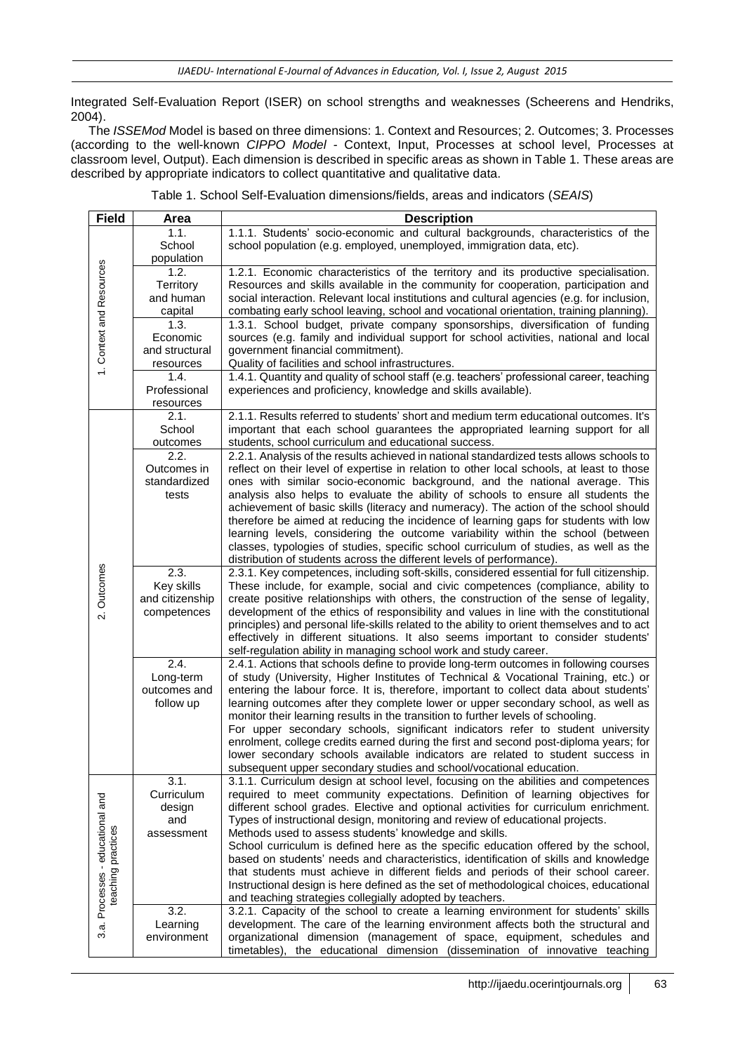Integrated Self-Evaluation Report (ISER) on school strengths and weaknesses (Scheerens and Hendriks, 2004).

The *ISSEMod* Model is based on three dimensions: 1. Context and Resources; 2. Outcomes; 3. Processes (according to the well-known *CIPPO Model -* Context, Input, Processes at school level, Processes at classroom level, Output). Each dimension is described in specific areas as shown in Table 1. These areas are described by appropriate indicators to collect quantitative and qualitative data.

| <b>Field</b>                                           | Area                      | <b>Description</b>                                                                                                                                                                    |
|--------------------------------------------------------|---------------------------|---------------------------------------------------------------------------------------------------------------------------------------------------------------------------------------|
| 1. Context and Resources                               | 1.1.<br>School            | 1.1.1. Students' socio-economic and cultural backgrounds, characteristics of the<br>school population (e.g. employed, unemployed, immigration data, etc).                             |
|                                                        | population<br>1.2.        | 1.2.1. Economic characteristics of the territory and its productive specialisation.                                                                                                   |
|                                                        | Territory                 | Resources and skills available in the community for cooperation, participation and                                                                                                    |
|                                                        | and human                 | social interaction. Relevant local institutions and cultural agencies (e.g. for inclusion,                                                                                            |
|                                                        | capital                   | combating early school leaving, school and vocational orientation, training planning).                                                                                                |
|                                                        | 1.3.                      | 1.3.1. School budget, private company sponsorships, diversification of funding                                                                                                        |
|                                                        | Economic                  | sources (e.g. family and individual support for school activities, national and local                                                                                                 |
|                                                        | and structural            | government financial commitment).                                                                                                                                                     |
|                                                        | resources                 | Quality of facilities and school infrastructures.                                                                                                                                     |
|                                                        | 1.4.                      | 1.4.1. Quantity and quality of school staff (e.g. teachers' professional career, teaching                                                                                             |
|                                                        | Professional<br>resources | experiences and proficiency, knowledge and skills available).                                                                                                                         |
|                                                        | 2.1.                      | 2.1.1. Results referred to students' short and medium term educational outcomes. It's                                                                                                 |
|                                                        | School                    | important that each school guarantees the appropriated learning support for all                                                                                                       |
|                                                        | outcomes<br>2.2.          | students, school curriculum and educational success.                                                                                                                                  |
|                                                        | Outcomes in               | 2.2.1. Analysis of the results achieved in national standardized tests allows schools to<br>reflect on their level of expertise in relation to other local schools, at least to those |
|                                                        | standardized              | ones with similar socio-economic background, and the national average. This                                                                                                           |
|                                                        | tests                     | analysis also helps to evaluate the ability of schools to ensure all students the                                                                                                     |
|                                                        |                           | achievement of basic skills (literacy and numeracy). The action of the school should                                                                                                  |
|                                                        |                           | therefore be aimed at reducing the incidence of learning gaps for students with low                                                                                                   |
|                                                        |                           | learning levels, considering the outcome variability within the school (between                                                                                                       |
|                                                        |                           | classes, typologies of studies, specific school curriculum of studies, as well as the                                                                                                 |
|                                                        | 2.3.                      | distribution of students across the different levels of performance).                                                                                                                 |
|                                                        | Key skills                | 2.3.1. Key competences, including soft-skills, considered essential for full citizenship.<br>These include, for example, social and civic competences (compliance, ability to         |
| 2. Outcomes                                            | and citizenship           | create positive relationships with others, the construction of the sense of legality,                                                                                                 |
|                                                        | competences               | development of the ethics of responsibility and values in line with the constitutional                                                                                                |
|                                                        |                           | principles) and personal life-skills related to the ability to orient themselves and to act                                                                                           |
|                                                        |                           | effectively in different situations. It also seems important to consider students'                                                                                                    |
|                                                        |                           | self-regulation ability in managing school work and study career.                                                                                                                     |
|                                                        | 2.4.                      | 2.4.1. Actions that schools define to provide long-term outcomes in following courses                                                                                                 |
|                                                        | Long-term                 | of study (University, Higher Institutes of Technical & Vocational Training, etc.) or                                                                                                  |
|                                                        | outcomes and              | entering the labour force. It is, therefore, important to collect data about students'<br>learning outcomes after they complete lower or upper secondary school, as well as           |
|                                                        | follow up                 | monitor their learning results in the transition to further levels of schooling.                                                                                                      |
|                                                        |                           | For upper secondary schools, significant indicators refer to student university                                                                                                       |
|                                                        |                           | enrolment, college credits earned during the first and second post-diploma years; for                                                                                                 |
|                                                        |                           | lower secondary schools available indicators are related to student success in                                                                                                        |
|                                                        |                           | subsequent upper secondary studies and school/vocational education.                                                                                                                   |
| 3.a. Processes - educational and<br>teaching practices | 3.1.                      | 3.1.1. Curriculum design at school level, focusing on the abilities and competences                                                                                                   |
|                                                        | Curriculum                | required to meet community expectations. Definition of learning objectives for                                                                                                        |
|                                                        | design                    | different school grades. Elective and optional activities for curriculum enrichment.                                                                                                  |
|                                                        | and<br>assessment         | Types of instructional design, monitoring and review of educational projects.<br>Methods used to assess students' knowledge and skills.                                               |
|                                                        |                           | School curriculum is defined here as the specific education offered by the school,                                                                                                    |
|                                                        |                           | based on students' needs and characteristics, identification of skills and knowledge                                                                                                  |
|                                                        |                           | that students must achieve in different fields and periods of their school career.                                                                                                    |
|                                                        |                           | Instructional design is here defined as the set of methodological choices, educational                                                                                                |
|                                                        |                           | and teaching strategies collegially adopted by teachers.                                                                                                                              |
|                                                        | 3.2.                      | 3.2.1. Capacity of the school to create a learning environment for students' skills                                                                                                   |
|                                                        | Learning                  | development. The care of the learning environment affects both the structural and                                                                                                     |
|                                                        | environment               | organizational dimension (management of space, equipment, schedules and                                                                                                               |
|                                                        |                           | timetables), the educational dimension (dissemination of innovative teaching                                                                                                          |

Table 1. School Self-Evaluation dimensions/fields, areas and indicators (*SEAIS*)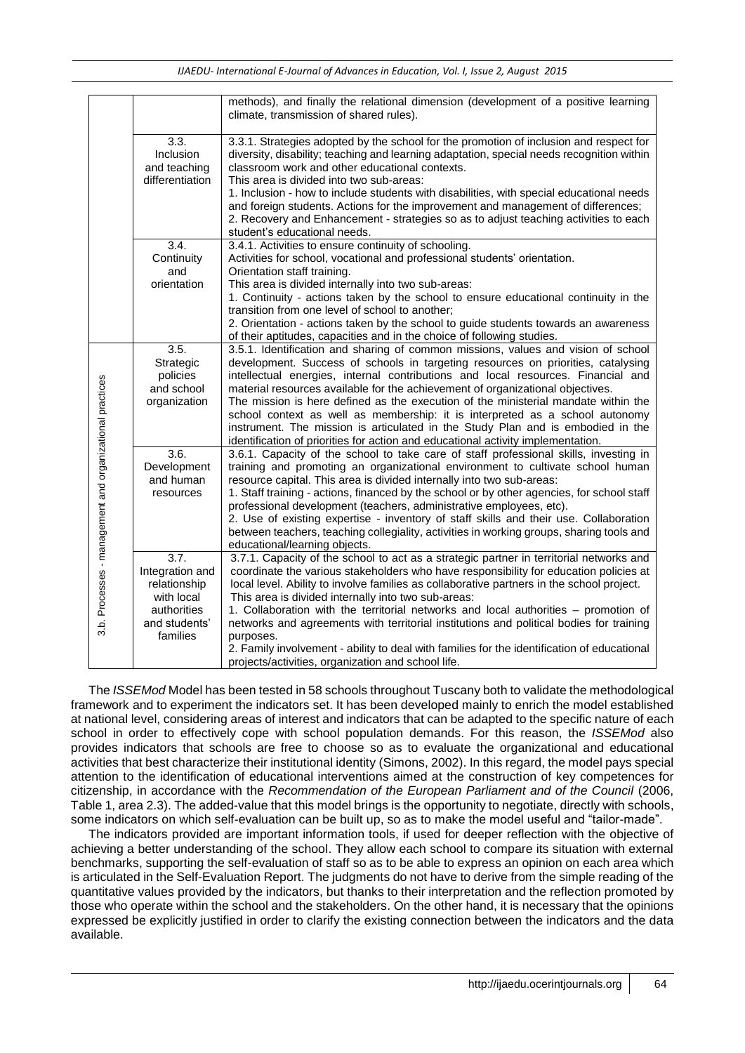|                                                          |                                                                                                   | methods), and finally the relational dimension (development of a positive learning<br>climate, transmission of shared rules).                                                                                                                                                                                                                                                                                                                                                                                                                                                                                                                                                            |
|----------------------------------------------------------|---------------------------------------------------------------------------------------------------|------------------------------------------------------------------------------------------------------------------------------------------------------------------------------------------------------------------------------------------------------------------------------------------------------------------------------------------------------------------------------------------------------------------------------------------------------------------------------------------------------------------------------------------------------------------------------------------------------------------------------------------------------------------------------------------|
|                                                          | 3.3.<br>Inclusion<br>and teaching<br>differentiation                                              | 3.3.1. Strategies adopted by the school for the promotion of inclusion and respect for<br>diversity, disability; teaching and learning adaptation, special needs recognition within<br>classroom work and other educational contexts.<br>This area is divided into two sub-areas:<br>1. Inclusion - how to include students with disabilities, with special educational needs<br>and foreign students. Actions for the improvement and management of differences;<br>2. Recovery and Enhancement - strategies so as to adjust teaching activities to each<br>student's educational needs.                                                                                                |
|                                                          | 3.4.<br>Continuity<br>and<br>orientation                                                          | 3.4.1. Activities to ensure continuity of schooling.<br>Activities for school, vocational and professional students' orientation.<br>Orientation staff training.<br>This area is divided internally into two sub-areas:<br>1. Continuity - actions taken by the school to ensure educational continuity in the<br>transition from one level of school to another;<br>2. Orientation - actions taken by the school to guide students towards an awareness<br>of their aptitudes, capacities and in the choice of following studies.                                                                                                                                                       |
| 3.b. Processes - management and organizational practices | 3.5.<br>Strategic<br>policies<br>and school<br>organization                                       | 3.5.1. Identification and sharing of common missions, values and vision of school<br>development. Success of schools in targeting resources on priorities, catalysing<br>intellectual energies, internal contributions and local resources. Financial and<br>material resources available for the achievement of organizational objectives.<br>The mission is here defined as the execution of the ministerial mandate within the<br>school context as well as membership: it is interpreted as a school autonomy<br>instrument. The mission is articulated in the Study Plan and is embodied in the<br>identification of priorities for action and educational activity implementation. |
|                                                          | 3.6.<br>Development<br>and human<br>resources                                                     | 3.6.1. Capacity of the school to take care of staff professional skills, investing in<br>training and promoting an organizational environment to cultivate school human<br>resource capital. This area is divided internally into two sub-areas:<br>1. Staff training - actions, financed by the school or by other agencies, for school staff<br>professional development (teachers, administrative employees, etc).<br>2. Use of existing expertise - inventory of staff skills and their use. Collaboration<br>between teachers, teaching collegiality, activities in working groups, sharing tools and<br>educational/learning objects.                                              |
|                                                          | 3.7.<br>Integration and<br>relationship<br>with local<br>authorities<br>and students'<br>families | 3.7.1. Capacity of the school to act as a strategic partner in territorial networks and<br>coordinate the various stakeholders who have responsibility for education policies at<br>local level. Ability to involve families as collaborative partners in the school project.<br>This area is divided internally into two sub-areas:<br>1. Collaboration with the territorial networks and local authorities - promotion of<br>networks and agreements with territorial institutions and political bodies for training<br>purposes.<br>2. Family involvement - ability to deal with families for the identification of educational<br>projects/activities, organization and school life. |

The *ISSEMod* Model has been tested in 58 schools throughout Tuscany both to validate the methodological framework and to experiment the indicators set. It has been developed mainly to enrich the model established at national level, considering areas of interest and indicators that can be adapted to the specific nature of each school in order to effectively cope with school population demands. For this reason, the *ISSEMod* also provides indicators that schools are free to choose so as to evaluate the organizational and educational activities that best characterize their institutional identity (Simons, 2002). In this regard, the model pays special attention to the identification of educational interventions aimed at the construction of key competences for citizenship, in accordance with the *Recommendation of the European Parliament and of the Council* (2006, Table 1, area 2.3). The added-value that this model brings is the opportunity to negotiate, directly with schools, some indicators on which self-evaluation can be built up, so as to make the model useful and "tailor-made".

The indicators provided are important information tools, if used for deeper reflection with the objective of achieving a better understanding of the school. They allow each school to compare its situation with external benchmarks, supporting the self-evaluation of staff so as to be able to express an opinion on each area which is articulated in the Self-Evaluation Report. The judgments do not have to derive from the simple reading of the quantitative values provided by the indicators, but thanks to their interpretation and the reflection promoted by those who operate within the school and the stakeholders. On the other hand, it is necessary that the opinions expressed be explicitly justified in order to clarify the existing connection between the indicators and the data available.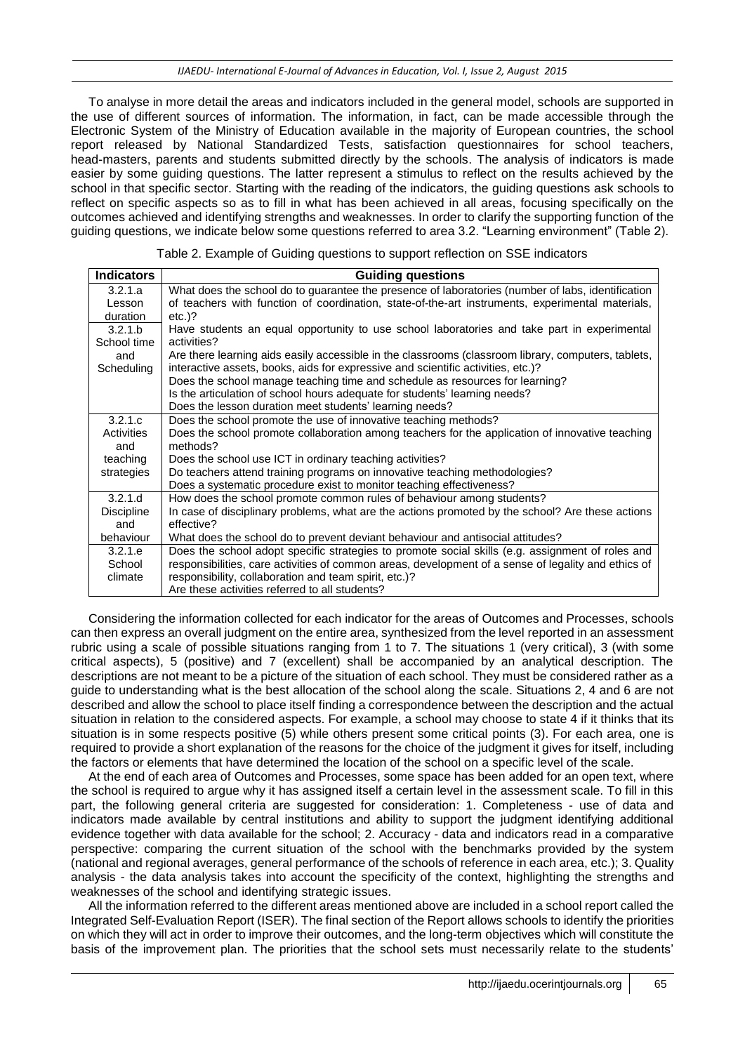To analyse in more detail the areas and indicators included in the general model, schools are supported in the use of different sources of information. The information, in fact, can be made accessible through the Electronic System of the Ministry of Education available in the majority of European countries, the school report released by National Standardized Tests, satisfaction questionnaires for school teachers, head-masters, parents and students submitted directly by the schools. The analysis of indicators is made easier by some guiding questions. The latter represent a stimulus to reflect on the results achieved by the school in that specific sector. Starting with the reading of the indicators, the guiding questions ask schools to reflect on specific aspects so as to fill in what has been achieved in all areas, focusing specifically on the outcomes achieved and identifying strengths and weaknesses. In order to clarify the supporting function of the guiding questions, we indicate below some questions referred to area 3.2. "Learning environment" (Table 2).

Table 2. Example of Guiding questions to support reflection on SSE indicators

| <b>Indicators</b> | <b>Guiding questions</b>                                                                            |
|-------------------|-----------------------------------------------------------------------------------------------------|
| 3.2.1.a           | What does the school do to guarantee the presence of laboratories (number of labs, identification   |
| Lesson            | of teachers with function of coordination, state-of-the-art instruments, experimental materials,    |
| duration          | $etc.$ )?                                                                                           |
| 3.2.1.b           | Have students an equal opportunity to use school laboratories and take part in experimental         |
| School time       | activities?                                                                                         |
| and               | Are there learning aids easily accessible in the classrooms (classroom library, computers, tablets, |
| Scheduling        | interactive assets, books, aids for expressive and scientific activities, etc.)?                    |
|                   | Does the school manage teaching time and schedule as resources for learning?                        |
|                   | Is the articulation of school hours adequate for students' learning needs?                          |
|                   | Does the lesson duration meet students' learning needs?                                             |
| 3.2.1.c           | Does the school promote the use of innovative teaching methods?                                     |
| Activities        | Does the school promote collaboration among teachers for the application of innovative teaching     |
| and               | methods?                                                                                            |
| teaching          | Does the school use ICT in ordinary teaching activities?                                            |
| strategies        | Do teachers attend training programs on innovative teaching methodologies?                          |
|                   | Does a systematic procedure exist to monitor teaching effectiveness?                                |
| 3.2.1.d           | How does the school promote common rules of behaviour among students?                               |
| <b>Discipline</b> | In case of disciplinary problems, what are the actions promoted by the school? Are these actions    |
| and               | effective?                                                                                          |
| behaviour         | What does the school do to prevent deviant behaviour and antisocial attitudes?                      |
| 3.2.1.e           | Does the school adopt specific strategies to promote social skills (e.g. assignment of roles and    |
| School            | responsibilities, care activities of common areas, development of a sense of legality and ethics of |
| climate           | responsibility, collaboration and team spirit, etc.)?                                               |
|                   | Are these activities referred to all students?                                                      |

Considering the information collected for each indicator for the areas of Outcomes and Processes, schools can then express an overall judgment on the entire area, synthesized from the level reported in an assessment rubric using a scale of possible situations ranging from 1 to 7. The situations 1 (very critical), 3 (with some critical aspects), 5 (positive) and 7 (excellent) shall be accompanied by an analytical description. The descriptions are not meant to be a picture of the situation of each school. They must be considered rather as a guide to understanding what is the best allocation of the school along the scale. Situations 2, 4 and 6 are not described and allow the school to place itself finding a correspondence between the description and the actual situation in relation to the considered aspects. For example, a school may choose to state 4 if it thinks that its situation is in some respects positive (5) while others present some critical points (3). For each area, one is required to provide a short explanation of the reasons for the choice of the judgment it gives for itself, including the factors or elements that have determined the location of the school on a specific level of the scale.

At the end of each area of Outcomes and Processes, some space has been added for an open text, where the school is required to argue why it has assigned itself a certain level in the assessment scale. To fill in this part, the following general criteria are suggested for consideration: 1. Completeness - use of data and indicators made available by central institutions and ability to support the judgment identifying additional evidence together with data available for the school; 2. Accuracy - data and indicators read in a comparative perspective: comparing the current situation of the school with the benchmarks provided by the system (national and regional averages, general performance of the schools of reference in each area, etc.); 3. Quality analysis - the data analysis takes into account the specificity of the context, highlighting the strengths and weaknesses of the school and identifying strategic issues.

All the information referred to the different areas mentioned above are included in a school report called the Integrated Self-Evaluation Report (ISER). The final section of the Report allows schools to identify the priorities on which they will act in order to improve their outcomes, and the long-term objectives which will constitute the basis of the improvement plan. The priorities that the school sets must necessarily relate to the students'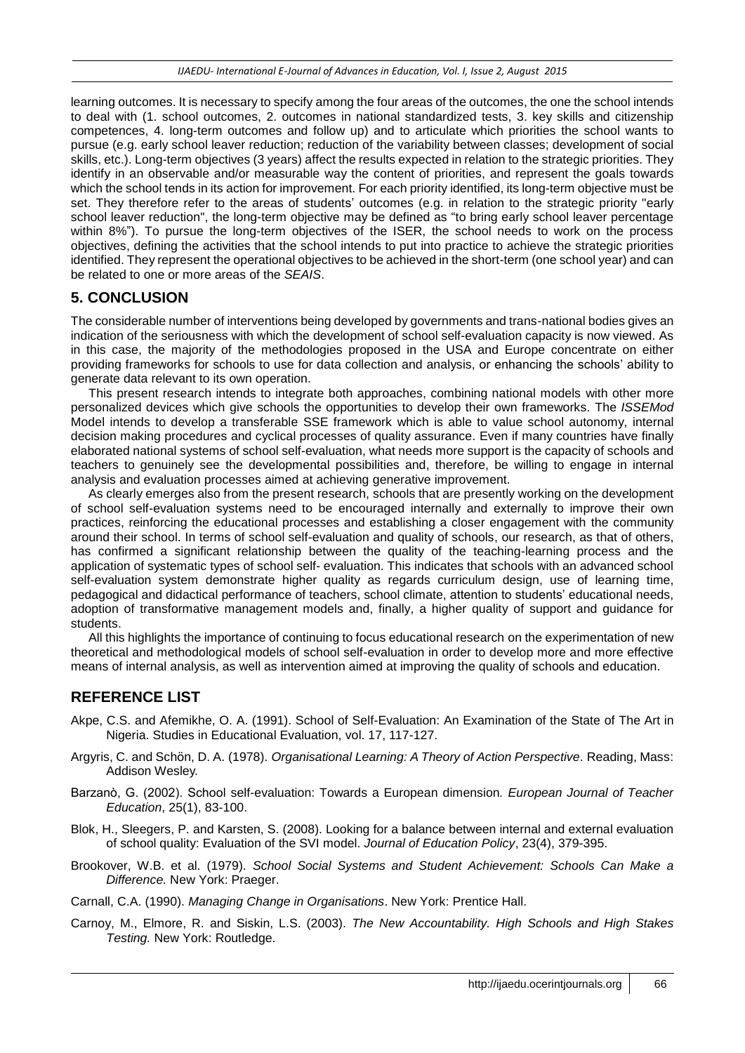learning outcomes. It is necessary to specify among the four areas of the outcomes, the one the school intends to deal with (1. school outcomes, 2. outcomes in national standardized tests, 3. key skills and citizenship competences, 4. long-term outcomes and follow up) and to articulate which priorities the school wants to pursue (e.g. early school leaver reduction; reduction of the variability between classes; development of social skills, etc.). Long-term objectives (3 years) affect the results expected in relation to the strategic priorities. They identify in an observable and/or measurable way the content of priorities, and represent the goals towards which the school tends in its action for improvement. For each priority identified, its long-term objective must be set. They therefore refer to the areas of students' outcomes (e.g. in relation to the strategic priority "early school leaver reduction", the long-term objective may be defined as "to bring early school leaver percentage within 8%"). To pursue the long-term objectives of the ISER, the school needs to work on the process objectives, defining the activities that the school intends to put into practice to achieve the strategic priorities identified. They represent the operational objectives to be achieved in the short-term (one school year) and can be related to one or more areas of the *SEAIS*.

# **5. CONCLUSION**

The considerable number of interventions being developed by governments and trans-national bodies gives an indication of the seriousness with which the development of school self-evaluation capacity is now viewed. As in this case, the majority of the methodologies proposed in the USA and Europe concentrate on either providing frameworks for schools to use for data collection and analysis, or enhancing the schools' ability to generate data relevant to its own operation.

This present research intends to integrate both approaches, combining national models with other more personalized devices which give schools the opportunities to develop their own frameworks. The *ISSEMod*  Model intends to develop a transferable SSE framework which is able to value school autonomy, internal decision making procedures and cyclical processes of quality assurance. Even if many countries have finally elaborated national systems of school self-evaluation, what needs more support is the capacity of schools and teachers to genuinely see the developmental possibilities and, therefore, be willing to engage in internal analysis and evaluation processes aimed at achieving generative improvement.

As clearly emerges also from the present research, schools that are presently working on the development of school self-evaluation systems need to be encouraged internally and externally to improve their own practices, reinforcing the educational processes and establishing a closer engagement with the community around their school. In terms of school self-evaluation and quality of schools, our research, as that of others, has confirmed a significant relationship between the quality of the teaching-learning process and the application of systematic types of school self- evaluation. This indicates that schools with an advanced school self-evaluation system demonstrate higher quality as regards curriculum design, use of learning time, pedagogical and didactical performance of teachers, school climate, attention to students' educational needs, adoption of transformative management models and, finally, a higher quality of support and guidance for students.

All this highlights the importance of continuing to focus educational research on the experimentation of new theoretical and methodological models of school self-evaluation in order to develop more and more effective means of internal analysis, as well as intervention aimed at improving the quality of schools and education.

# **REFERENCE LIST**

- Akpe, C.S. and Afemikhe, O. A. (1991). School of Self-Evaluation: An Examination of the State of The Art in Nigeria. Studies in Educational Evaluation, vol. 17, 117-127.
- Argyris, C. and Schön, D. A. (1978). *Organisational Learning: A Theory of Action Perspective*. Reading, Mass: Addison Wesley.
- Barzanò, G. (2002). School self-evaluation: Towards a European dimension*. European Journal of Teacher Education*, 25(1), 83-100.
- Blok, H., Sleegers, P. and Karsten, S. (2008). Looking for a balance between internal and external evaluation of school quality: Evaluation of the SVI model. *Journal of Education Policy*, 23(4), 379-395.
- Brookover, W.B. et al. (1979). *School Social Systems and Student Achievement: Schools Can Make a Difference.* New York: Praeger.

Carnall, C.A. (1990). *Managing Change in Organisations*. New York: Prentice Hall.

Carnoy, M., Elmore, R. and Siskin, L.S. (2003). *The New Accountability. High Schools and High Stakes Testing.* New York: Routledge.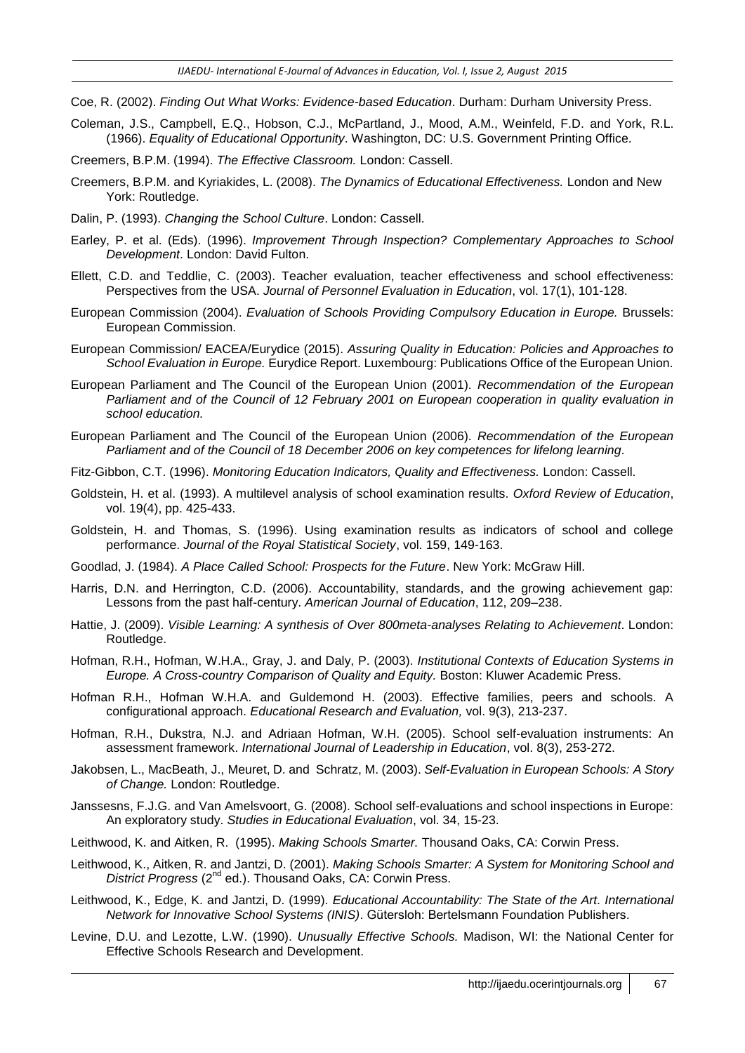- Coe, R. (2002). *Finding Out What Works: Evidence-based Education*. Durham: Durham University Press.
- Coleman, J.S., Campbell, E.Q., Hobson, C.J., McPartland, J., Mood, A.M., Weinfeld, F.D. and York, R.L. (1966). *Equality of Educational Opportunity*. Washington, DC: U.S. Government Printing Office.
- Creemers, B.P.M. (1994). *The Effective Classroom.* London: Cassell.
- Creemers, B.P.M. and Kyriakides, L. (2008). *The Dynamics of Educational Effectiveness.* London and New York: Routledge.
- Dalin, P. (1993). *Changing the School Culture*. London: Cassell.
- Earley, P. et al. (Eds). (1996). *Improvement Through Inspection? Complementary Approaches to School Development*. London: David Fulton.
- Ellett, C.D. and Teddlie, C. (2003). Teacher evaluation, teacher effectiveness and school effectiveness: Perspectives from the USA. *Journal of Personnel Evaluation in Education*, vol. 17(1), 101-128.
- European Commission (2004). *Evaluation of Schools Providing Compulsory Education in Europe.* Brussels: European Commission.
- European Commission/ EACEA/Eurydice (2015). *Assuring Quality in Education: Policies and Approaches to School Evaluation in Europe.* Eurydice Report. Luxembourg: Publications Office of the European Union.
- European Parliament and The Council of the European Union (2001). *Recommendation of the European Parliament and of the Council of 12 February 2001 on European cooperation in quality evaluation in school education.*
- European Parliament and The Council of the European Union (2006). *Recommendation of the European Parliament and of the Council of 18 December 2006 on key competences for lifelong learning.*
- Fitz-Gibbon, C.T. (1996). *Monitoring Education Indicators, Quality and Effectiveness.* London: Cassell.
- Goldstein, H. et al. (1993). A multilevel analysis of school examination results. *Oxford Review of Education*, vol. 19(4), pp. 425-433.
- Goldstein, H. and Thomas, S. (1996). Using examination results as indicators of school and college performance. *Journal of the Royal Statistical Society*, vol. 159, 149-163.
- Goodlad, J. (1984). *A Place Called School: Prospects for the Future*. New York: McGraw Hill.
- Harris, D.N. and Herrington, C.D. (2006). Accountability, standards, and the growing achievement gap: Lessons from the past half-century. *American Journal of Education*, 112, 209–238.
- Hattie, J. (2009). *Visible Learning: A synthesis of Over 800meta-analyses Relating to Achievement*. London: Routledge.
- Hofman, R.H., Hofman, W.H.A., Gray, J. and Daly, P. (2003). *Institutional Contexts of Education Systems in Europe. A Cross-country Comparison of Quality and Equity.* Boston: Kluwer Academic Press.
- Hofman R.H., Hofman W.H.A. and Guldemond H. (2003). Effective families, peers and schools. A configurational approach. *Educational Research and Evaluation,* vol. 9(3), 213-237.
- Hofman, R.H., Dukstra, N.J. and Adriaan Hofman, W.H. (2005). School self-evaluation instruments: An assessment framework. *International Journal of Leadership in Education*, vol. 8(3), 253-272.
- [Jakobsen,](https://www.google.it/search?hl=it&tbo=p&tbm=bks&q=inauthor:%22Lars+Jakobsen%22) L., [MacBeath,](https://www.google.it/search?hl=it&tbo=p&tbm=bks&q=inauthor:%22John+MacBeath%22) J., [Meuret,](https://www.google.it/search?hl=it&tbo=p&tbm=bks&q=inauthor:%22Denis+Meuret%22) D. and [Schratz,](https://www.google.it/search?hl=it&tbo=p&tbm=bks&q=inauthor:%22Michael+Schratz%22) M. (2003). *Self-Evaluation in European Schools: A Story of Change.* London: Routledge.
- Janssesns, F.J.G. and Van Amelsvoort, G. (2008). School self-evaluations and school inspections in Europe: An exploratory study. *Studies in Educational Evaluation*, vol. 34, 15-23.
- Leithwood, K. and Aitken, R. (1995). *Making Schools Smarter.* Thousand Oaks, CA: Corwin Press.
- Leithwood, K., Aitken, R. and Jantzi, D. (2001). *Making Schools Smarter: A System for Monitoring School and District Progress* (2nd ed.). Thousand Oaks, CA: Corwin Press.
- Leithwood, K., Edge, K. and Jantzi, D. (1999). *Educational Accountability: The State of the Art. International Network for Innovative School Systems (INIS)*. Gütersloh: Bertelsmann Foundation Publishers.
- Levine, D.U. and Lezotte, L.W. (1990). *Unusually Effective Schools.* Madison, WI: the National Center for Effective Schools Research and Development.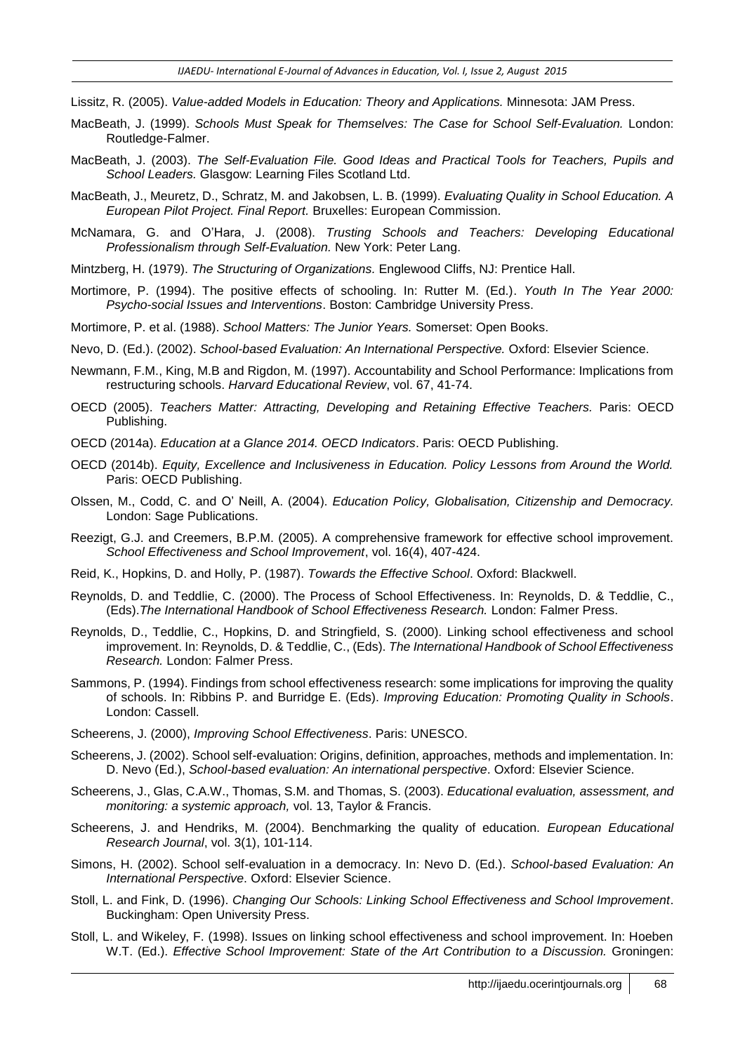- Lissitz, R. (2005). *Value-added Models in Education: Theory and Applications.* Minnesota: JAM Press.
- MacBeath, J. (1999). *Schools Must Speak for Themselves: The Case for School Self-Evaluation.* London: Routledge-Falmer.
- MacBeath, J. (2003). *The Self-Evaluation File. Good Ideas and Practical Tools for Teachers, Pupils and School Leaders.* Glasgow: Learning Files Scotland Ltd.
- MacBeath, J., Meuretz, D., Schratz, M. and Jakobsen, L. B. (1999). *Evaluating Quality in School Education. A European Pilot Project. Final Report.* Bruxelles: European Commission.
- McNamara, G. and O'Hara, J. (2008). *Trusting Schools and Teachers: Developing Educational Professionalism through Self-Evaluation.* New York: Peter Lang.
- Mintzberg, H. (1979). *The Structuring of Organizations.* Englewood Cliffs, NJ: Prentice Hall.
- Mortimore, P. (1994). The positive effects of schooling. In: Rutter M. (Ed.). *Youth In The Year 2000: Psycho-social Issues and Interventions*. Boston: Cambridge University Press.
- Mortimore, P. et al. (1988). *School Matters: The Junior Years.* Somerset: Open Books.
- Nevo, D. (Ed.). (2002). *School-based Evaluation: An International Perspective.* Oxford: Elsevier Science.
- Newmann, F.M., King, M.B and Rigdon, M. (1997). Accountability and School Performance: Implications from restructuring schools. *Harvard Educational Review*, vol. 67, 41-74.
- OECD (2005). *Teachers Matter: Attracting, Developing and Retaining Effective Teachers.* Paris: OECD Publishing.
- OECD (2014a). *Education at a Glance 2014. OECD Indicators*. Paris: OECD Publishing.
- OECD (2014b). *Equity, Excellence and Inclusiveness in Education. Policy Lessons from Around the World.* Paris: OECD Publishing.
- Olssen, M., Codd, C. and O' Neill, A. (2004). *Education Policy, Globalisation, Citizenship and Democracy.* London: Sage Publications.
- Reezigt, G.J. and Creemers, B.P.M. (2005). A comprehensive framework for effective school improvement. *School Effectiveness and School Improvement*, vol. 16(4), 407-424.
- Reid, K., Hopkins, D. and Holly, P. (1987). *Towards the Effective School*. Oxford: Blackwell.
- Reynolds, D. and Teddlie, C. (2000). The Process of School Effectiveness. In: Reynolds, D. & Teddlie, C., (Eds).*The International Handbook of School Effectiveness Research.* London: Falmer Press.
- Reynolds, D., Teddlie, C., Hopkins, D. and Stringfield, S. (2000). Linking school effectiveness and school improvement. In: Reynolds, D. & Teddlie, C., (Eds). *The International Handbook of School Effectiveness Research.* London: Falmer Press.
- Sammons, P. (1994). Findings from school effectiveness research: some implications for improving the quality of schools. In: Ribbins P. and Burridge E. (Eds). *Improving Education: Promoting Quality in Schools*. London: Cassell.
- Scheerens, J. (2000), *Improving School Effectiveness*. Paris: UNESCO.
- Scheerens, J. (2002). School self-evaluation: Origins, definition, approaches, methods and implementation. In: D. Nevo (Ed.), *School-based evaluation: An international perspective*. Oxford: Elsevier Science.
- Scheerens, J., Glas, C.A.W., Thomas, S.M. and Thomas, S. (2003). *Educational evaluation, assessment, and monitoring: a systemic approach,* vol. 13, Taylor & Francis.
- Scheerens, J. and Hendriks, M. (2004). Benchmarking the quality of education. *European Educational Research Journal*, vol. 3(1), 101-114.
- Simons, H. (2002). School self-evaluation in a democracy. In: Nevo D. (Ed.). *School-based Evaluation: An International Perspective*. Oxford: Elsevier Science.
- Stoll, L. and Fink, D. (1996). *Changing Our Schools: Linking School Effectiveness and School Improvement*. Buckingham: Open University Press.
- Stoll, L. and Wikeley, F. (1998). Issues on linking school effectiveness and school improvement. In: Hoeben W.T. (Ed.). *Effective School Improvement: State of the Art Contribution to a Discussion.* Groningen: